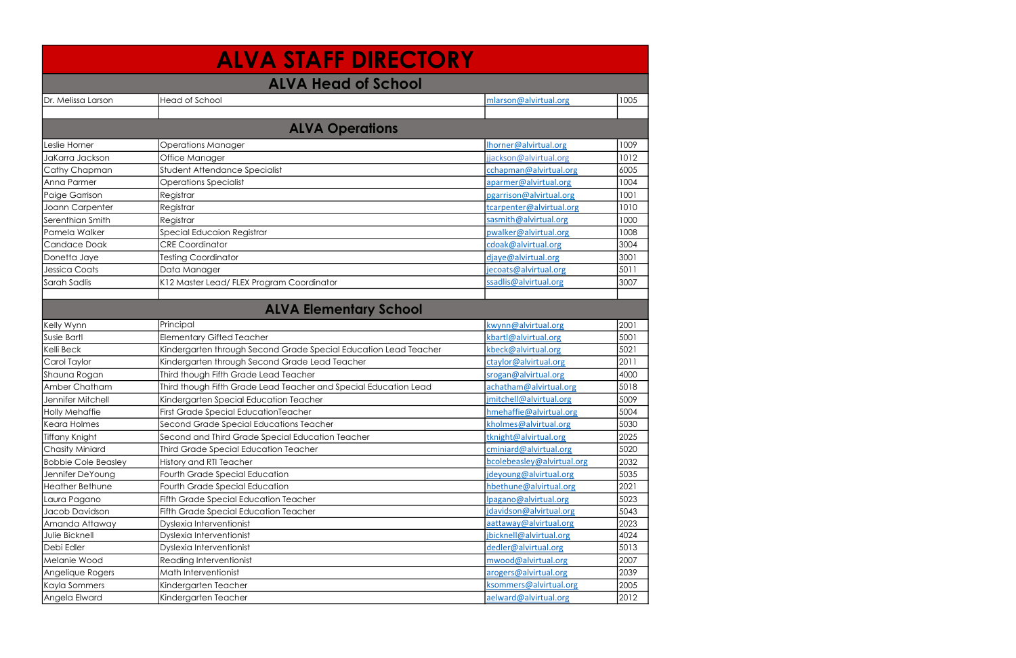|                            | <b>ALVA STAFF DIRECTORY</b>                                      |                            |      |
|----------------------------|------------------------------------------------------------------|----------------------------|------|
|                            | <b>ALVA Head of School</b>                                       |                            |      |
| Dr. Melissa Larson         | <b>Head of School</b>                                            | mlarson@alvirtual.org      | 1005 |
|                            |                                                                  |                            |      |
|                            | <b>ALVA Operations</b>                                           |                            |      |
| Leslie Horner              | <b>Operations Manager</b>                                        | Ihorner@alvirtual.org      | 1009 |
| JaKarra Jackson            | Office Manager                                                   | jjackson@alvirtual.org     | 1012 |
| Cathy Chapman              | Student Attendance Specialist                                    | cchapman@alvirtual.org     | 6005 |
| Anna Parmer                | <b>Operations Specialist</b>                                     | aparmer@alvirtual.org      | 1004 |
| Paige Garrison             | Registrar                                                        | pgarrison@alvirtual.org    | 1001 |
| Joann Carpenter            | Registrar                                                        | tcarpenter@alvirtual.org   | 1010 |
| Serenthian Smith           | Registrar                                                        | sasmith@alvirtual.org      | 1000 |
| Pamela Walker              | Special Educaion Registrar                                       | pwalker@alvirtual.org      | 1008 |
| <b>Candace Doak</b>        | <b>CRE Coordinator</b>                                           | cdoak@alvirtual.org        | 3004 |
| Donetta Jaye               | <b>Testing Coordinator</b>                                       | djaye@alvirtual.org        | 3001 |
| <b>Jessica Coats</b>       | Data Manager                                                     | jecoats@alvirtual.org      | 5011 |
| Sarah Sadlis               | K12 Master Lead/ FLEX Program Coordinator                        | ssadlis@alvirtual.org      | 3007 |
|                            |                                                                  |                            |      |
|                            | <b>ALVA Elementary School</b>                                    |                            |      |
| Kelly Wynn                 | Principal                                                        | kwynn@alvirtual.org        | 2001 |
| <b>Susie Bartl</b>         | <b>Elementary Gifted Teacher</b>                                 | kbartl@alvirtual.org       | 5001 |
| Kelli Beck                 | Kindergarten through Second Grade Special Education Lead Teacher | kbeck@alvirtual.org        | 5021 |
| Carol Taylor               | Kindergarten through Second Grade Lead Teacher                   | ctaylor@alvirtual.org      | 2011 |
| Shauna Rogan               | Third though Fifth Grade Lead Teacher                            | srogan@alvirtual.org       | 4000 |
| Amber Chatham              | Third though Fifth Grade Lead Teacher and Special Education Lead | achatham@alvirtual.org     | 5018 |
| Jennifer Mitchell          | Kindergarten Special Education Teacher                           | jmitchell@alvirtual.org    | 5009 |
| <b>Holly Mehaffie</b>      | <b>First Grade Special EducationTeacher</b>                      | hmehaffie@alvirtual.org    | 5004 |
| Keara Holmes               | Second Grade Special Educations Teacher                          | kholmes@alvirtual.org      | 5030 |
| <b>Tiffany Knight</b>      | Second and Third Grade Special Education Teacher                 | tknight@alvirtual.org      | 2025 |
| <b>Chasity Miniard</b>     | <b>Third Grade Special Education Teacher</b>                     | cminiard@alvirtual.org     | 5020 |
| <b>Bobbie Cole Beasley</b> | History and RTI Teacher                                          | bcolebeasley@alvirtual.org | 2032 |
| Jennifer DeYoung           | Fourth Grade Special Education                                   | jdeyoung@alvirtual.org     | 5035 |
| <b>Heather Bethune</b>     | Fourth Grade Special Education                                   | hbethune@alvirtual.org     | 2021 |
| Laura Pagano               | <b>Fifth Grade Special Education Teacher</b>                     | lpagano@alvirtual.org      | 5023 |
| Jacob Davidson             | Fifth Grade Special Education Teacher                            | jdavidson@alvirtual.org    | 5043 |
| Amanda Attaway             | Dyslexia Interventionist                                         | aattaway@alvirtual.org     | 2023 |
| Julie Bicknell             | Dyslexia Interventionist                                         | jbicknell@alvirtual.org    | 4024 |
| Debi Edler                 | Dyslexia Interventionist                                         | dedler@alvirtual.org       | 5013 |
| Melanie Wood               | <b>Reading Interventionist</b>                                   | mwood@alvirtual.org        | 2007 |
| Angelique Rogers           | Math Interventionist                                             | arogers@alvirtual.org      | 2039 |
| Kayla Sommers              | Kindergarten Teacher                                             | ksommers@alvirtual.org     | 2005 |
| Angela Elward              | Kindergarten Teacher                                             | aelward@alvirtual.org      | 2012 |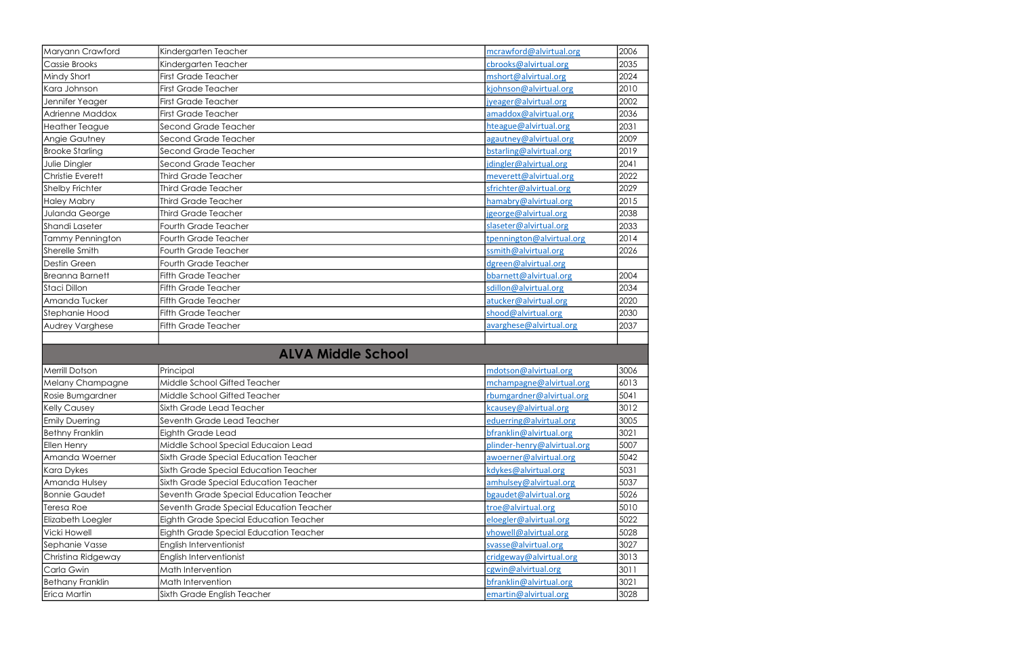| Maryann Crawford        | Kindergarten Teacher                    | mcrawford@alvirtual.org     | 2006 |
|-------------------------|-----------------------------------------|-----------------------------|------|
| Cassie Brooks           | Kindergarten Teacher                    | cbrooks@alvirtual.org       | 2035 |
| Mindy Short             | <b>First Grade Teacher</b>              | mshort@alvirtual.org        | 2024 |
| Kara Johnson            | <b>First Grade Teacher</b>              | kjohnson@alvirtual.org      | 2010 |
| Jennifer Yeager         | <b>First Grade Teacher</b>              | jyeager@alvirtual.org       | 2002 |
| Adrienne Maddox         | <b>First Grade Teacher</b>              | amaddox@alvirtual.org       | 2036 |
| <b>Heather Teague</b>   | Second Grade Teacher                    | hteague@alvirtual.org       | 2031 |
| Angie Gautney           | Second Grade Teacher                    | agautney@alvirtual.org      | 2009 |
| <b>Brooke Starling</b>  | Second Grade Teacher                    | bstarling@alvirtual.org     | 2019 |
| Julie Dingler           | Second Grade Teacher                    | jdingler@alvirtual.org      | 2041 |
| <b>Christie Everett</b> | <b>Third Grade Teacher</b>              | meverett@alvirtual.org      | 2022 |
| <b>Shelby Frichter</b>  | <b>Third Grade Teacher</b>              | sfrichter@alvirtual.org     | 2029 |
| <b>Haley Mabry</b>      | <b>Third Grade Teacher</b>              | hamabry@alvirtual.org       | 2015 |
| Julanda George          | <b>Third Grade Teacher</b>              | jgeorge@alvirtual.org       | 2038 |
| Shandi Laseter          | Fourth Grade Teacher                    | slaseter@alvirtual.org      | 2033 |
| Tammy Pennington        | <b>Fourth Grade Teacher</b>             | tpennington@alvirtual.org   | 2014 |
| Sherelle Smith          | <b>Fourth Grade Teacher</b>             | ssmith@alvirtual.org        | 2026 |
| Destin Green            | <b>Fourth Grade Teacher</b>             | dgreen@alvirtual.org        |      |
| <b>Breanna Barnett</b>  | <b>Fifth Grade Teacher</b>              | bbarnett@alvirtual.org      | 2004 |
| Staci Dillon            | <b>Fifth Grade Teacher</b>              | sdillon@alvirtual.org       | 2034 |
| Amanda Tucker           | <b>Fifth Grade Teacher</b>              | atucker@alvirtual.org       | 2020 |
| Stephanie Hood          | <b>Fifth Grade Teacher</b>              | shood@alvirtual.org         | 2030 |
| Audrey Varghese         | <b>Fifth Grade Teacher</b>              | avarghese@alvirtual.org     | 2037 |
|                         |                                         |                             |      |
|                         | <b>ALVA Middle School</b>               |                             |      |
| <b>Merrill Dotson</b>   | Principal                               | mdotson@alvirtual.org       | 3006 |
| Melany Champagne        | Middle School Gifted Teacher            | mchampagne@alvirtual.org    | 6013 |
| Rosie Bumgardner        | Middle School Gifted Teacher            | rbumgardner@alvirtual.org   | 5041 |
| <b>Kelly Causey</b>     | Sixth Grade Lead Teacher                | kcausey@alvirtual.org       | 3012 |
| <b>Emily Duerring</b>   | Seventh Grade Lead Teacher              | eduerring@alvirtual.org     | 3005 |
| <b>Bethny Franklin</b>  | Eighth Grade Lead                       | bfranklin@alvirtual.org     | 3021 |
| <b>Ellen Henry</b>      | Middle School Special Educaion Lead     | plinder-henry@alvirtual.org | 5007 |
| Amanda Woerner          | Sixth Grade Special Education Teacher   | awoerner@alvirtual.org      | 5042 |
| <b>Kara Dykes</b>       | Sixth Grade Special Education Teacher   | kdykes@alvirtual.org        | 5031 |
| Amanda Hulsey           | Sixth Grade Special Education Teacher   | amhulsey@alvirtual.org      | 5037 |
| <b>Bonnie Gaudet</b>    | Seventh Grade Special Education Teacher | bgaudet@alvirtual.org       | 5026 |
| Teresa Roe              | Seventh Grade Special Education Teacher | troe@alvirtual.org          | 5010 |
| Elizabeth Loegler       | Eighth Grade Special Education Teacher  | eloegler@alvirtual.org      | 5022 |
| Vicki Howell            | Eighth Grade Special Education Teacher  | vhowell@alvirtual.org       | 5028 |
| Sephanie Vasse          | English Interventionist                 | svasse@alvirtual.org        | 3027 |
| Christina Ridgeway      | English Interventionist                 | cridgeway@alvirtual.org     | 3013 |
| Carla Gwin              | Math Intervention                       | cgwin@alvirtual.org         | 3011 |
| <b>Bethany Franklin</b> | Math Intervention                       | bfranklin@alvirtual.org     | 3021 |
|                         |                                         |                             |      |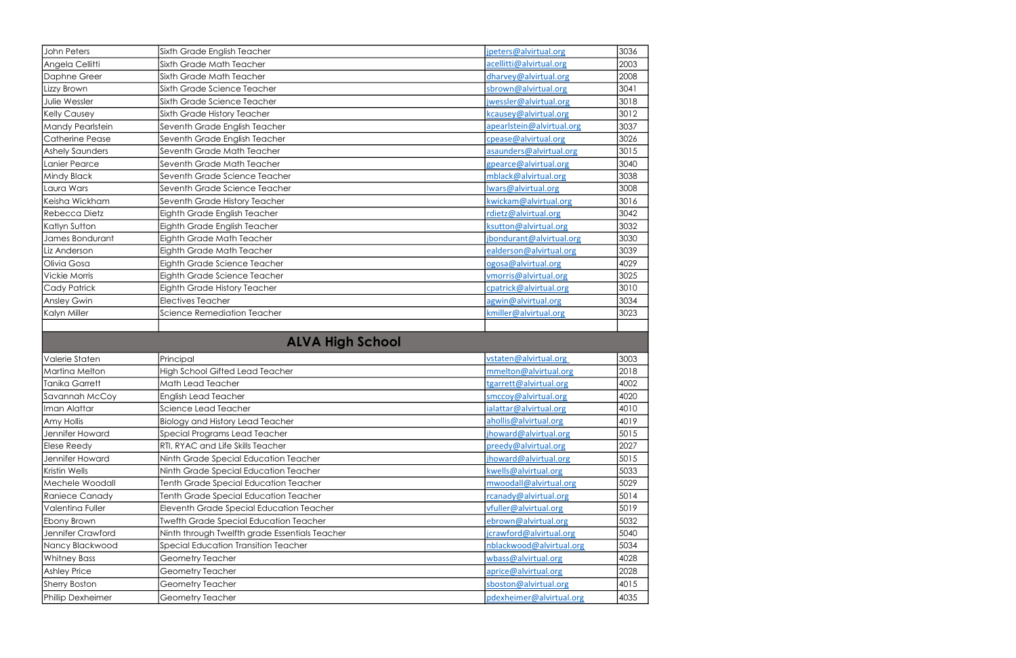| John Peters             | Sixth Grade English Teacher<br>jpeters@alvirtual.org                      | 3036 |
|-------------------------|---------------------------------------------------------------------------|------|
| Angela Cellitti         | Sixth Grade Math Teacher<br>acellitti@alvirtual.org                       | 2003 |
| Daphne Greer            | dharvey@alvirtual.org<br>Sixth Grade Math Teacher                         | 2008 |
| Lizzy Brown             | Sixth Grade Science Teacher<br>sbrown@alvirtual.org                       | 3041 |
| Julie Wessler           | jwessler@alvirtual.org<br>Sixth Grade Science Teacher                     | 3018 |
| <b>Kelly Causey</b>     | kcausey@alvirtual.org<br>Sixth Grade History Teacher                      | 3012 |
| <b>Mandy Pearlstein</b> | Seventh Grade English Teacher<br>apearlstein@alvirtual.org                | 3037 |
| <b>Catherine Pease</b>  | Seventh Grade English Teacher<br>cpease@alvirtual.org                     | 3026 |
| <b>Ashely Saunders</b>  | asaunders@alvirtual.org<br>Seventh Grade Math Teacher                     | 3015 |
| Lanier Pearce           | Seventh Grade Math Teacher<br>gpearce@alvirtual.org                       | 3040 |
| <b>Mindy Black</b>      | mblack@alvirtual.org<br>Seventh Grade Science Teacher                     | 3038 |
| Laura Wars              | Iwars@alvirtual.org<br>Seventh Grade Science Teacher                      | 3008 |
| Keisha Wickham          | kwickam@alvirtual.org<br>Seventh Grade History Teacher                    | 3016 |
| Rebecca Dietz           | Eighth Grade English Teacher<br>rdietz@alvirtual.org                      | 3042 |
| Katlyn Sutton           | Eighth Grade English Teacher<br>ksutton@alvirtual.org                     | 3032 |
| James Bondurant         | Eighth Grade Math Teacher<br>jbondurant@alvirtual.org                     | 3030 |
| Liz Anderson            | ealderson@alvirtual.org<br>Eighth Grade Math Teacher                      | 3039 |
| Olivia Gosa             | ogosa@alvirtual.org<br>Eighth Grade Science Teacher                       | 4029 |
| <b>Vickie Morris</b>    | Eighth Grade Science Teacher<br>vmorris@alvirtual.org                     | 3025 |
| <b>Cady Patrick</b>     | cpatrick@alvirtual.org<br>Eighth Grade History Teacher                    | 3010 |
| <b>Ansley Gwin</b>      | <b>Electives Teacher</b><br>agwin@alvirtual.org                           | 3034 |
| Kalyn Miller            | Science Remediation Teacher<br>kmiller@alvirtual.org                      | 3023 |
|                         |                                                                           |      |
|                         |                                                                           |      |
|                         | <b>ALVA High School</b>                                                   |      |
| Valerie Staten          | Principal<br>vstaten@alvirtual.org                                        | 3003 |
| <b>Martina Melton</b>   | High School Gifted Lead Teacher<br>mmelton@alvirtual.org                  | 2018 |
| <b>Tanika Garrett</b>   | Math Lead Teacher<br>tgarrett@alvirtual.org                               | 4002 |
| Savannah McCoy          | <b>English Lead Teacher</b><br>smccoy@alvirtual.org                       | 4020 |
| Iman Alattar            | Science Lead Teacher<br>ialattar@alvirtual.org                            | 4010 |
| Amy Hollis              | <b>Biology and History Lead Teacher</b><br>ahollis@alvirtual.org          | 4019 |
| Jennifer Howard         | Special Programs Lead Teacher<br>jhoward@alvirtual.org                    | 5015 |
| <b>Elese Reedy</b>      | RTI, RYAC and Life Skills Teacher<br>preedy@alvirtual.org                 | 2027 |
| Jennifer Howard         | Ninth Grade Special Education Teacher<br>jhoward@alvirtual.org            | 5015 |
| Kristin Wells           | Ninth Grade Special Education Teacher<br>kwells@alvirtual.org             | 5033 |
| Mechele Woodall         | Tenth Grade Special Education Teacher<br>mwoodall@alvirtual.org           | 5029 |
| Raniece Canady          | Tenth Grade Special Education Teacher<br>rcanady@alvirtual.org            | 5014 |
| Valentina Fuller        | Eleventh Grade Special Education Teacher<br>vfuller@alvirtual.org         | 5019 |
| Ebony Brown             | <b>Twefth Grade Special Education Teacher</b><br>ebrown@alvirtual.org     | 5032 |
| Jennifer Crawford       | Ninth through Twelfth grade Essentials Teacher<br>jcrawford@alvirtual.org | 5040 |
| Nancy Blackwood         | Special Education Transition Teacher<br>nblackwood@alvirtual.org          | 5034 |
| <b>Whitney Bass</b>     | wbass@alvirtual.org<br>Geometry Teacher                                   | 4028 |
| <b>Ashley Price</b>     | aprice@alvirtual.org<br>Geometry Teacher                                  | 2028 |
| <b>Sherry Boston</b>    | Geometry Teacher<br>sboston@alvirtual.org                                 | 4015 |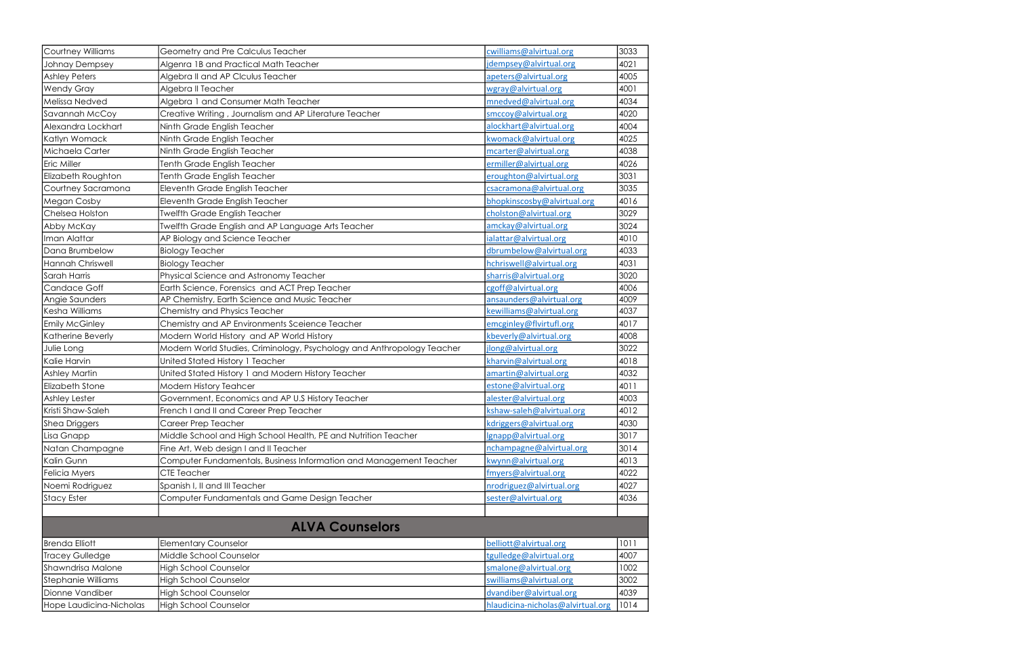| Courtney Williams         | Geometry and Pre Calculus Teacher                                      | cwilliams@alvirtual.org           | 3033 |
|---------------------------|------------------------------------------------------------------------|-----------------------------------|------|
| Johnay Dempsey            | Algenra 1B and Practical Math Teacher                                  | jdempsey@alvirtual.org            | 4021 |
| <b>Ashley Peters</b>      | Algebra II and AP Clculus Teacher                                      | apeters@alvirtual.org             | 4005 |
| <b>Wendy Gray</b>         | Algebra II Teacher                                                     | wgray@alvirtual.org               | 4001 |
| <b>Melissa Nedved</b>     | Algebra 1 and Consumer Math Teacher                                    | mnedved@alvirtual.org             | 4034 |
| Savannah McCoy            | Creative Writing, Journalism and AP Literature Teacher                 | smccoy@alvirtual.org              | 4020 |
| Alexandra Lockhart        | Ninth Grade English Teacher                                            | alockhart@alvirtual.org           | 4004 |
| Katlyn Womack             | Ninth Grade English Teacher                                            | kwomack@alvirtual.org             | 4025 |
| Michaela Carter           | Ninth Grade English Teacher                                            | mcarter@alvirtual.org             | 4038 |
| Eric Miller               | Tenth Grade English Teacher                                            | ermiller@alvirtual.org            | 4026 |
| Elizabeth Roughton        | Tenth Grade English Teacher                                            | eroughton@alvirtual.org           | 3031 |
| Courtney Sacramona        | Eleventh Grade English Teacher                                         | csacramona@alvirtual.org          | 3035 |
| Megan Cosby               | Eleventh Grade English Teacher                                         | bhopkinscosby@alvirtual.org       | 4016 |
| Chelsea Holston           | <b>Twelfth Grade English Teacher</b>                                   | cholston@alvirtual.org            | 3029 |
| Abby McKay                | <b>Twelfth Grade English and AP Language Arts Teacher</b>              | amckay@alvirtual.org              | 3024 |
| Iman Alattar              | AP Biology and Science Teacher                                         | ialattar@alvirtual.org            | 4010 |
| Dana Brumbelow            | <b>Biology Teacher</b>                                                 | dbrumbelow@alvirtual.org          | 4033 |
| <b>Hannah Chriswell</b>   | <b>Biology Teacher</b>                                                 | hchriswell@alvirtual.org          | 4031 |
| Sarah Harris              | Physical Science and Astronomy Teacher                                 | sharris@alvirtual.org             | 3020 |
| <b>Candace Goff</b>       | Earth Science, Forensics and ACT Prep Teacher                          | cgoff@alvirtual.org               | 4006 |
| Angie Saunders            | AP Chemistry, Earth Science and Music Teacher                          | ansaunders@alvirtual.org          | 4009 |
| Kesha Williams            | Chemistry and Physics Teacher                                          | kewilliams@alvirtual.org          | 4037 |
| <b>Emily McGinley</b>     | Chemistry and AP Environments Sceience Teacher                         | emcginley@flvirtufl.org           | 4017 |
| Katherine Beverly         | Modern World History and AP World History                              | kbeverly@alvirtual.org            | 4008 |
| Julie Long                | Modern World Studies, Criminology, Psychology and Anthropology Teacher | jlong@alvirtual.org               | 3022 |
| Kalie Harvin              | United Stated History 1 Teacher                                        | kharvin@alvirtual.org             | 4018 |
| <b>Ashley Martin</b>      | United Stated History 1 and Modern History Teacher                     | amartin@alvirtual.org             | 4032 |
| <b>Elizabeth Stone</b>    | Modern History Teahcer                                                 | estone@alvirtual.org              | 4011 |
| Ashley Lester             | Government, Economics and AP U.S History Teacher                       | alester@alvirtual.org             | 4003 |
| Kristi Shaw-Saleh         | French I and II and Career Prep Teacher                                | kshaw-saleh@alvirtual.org         | 4012 |
| <b>Shea Driggers</b>      | Career Prep Teacher                                                    | kdriggers@alvirtual.org           | 4030 |
| Lisa Gnapp                | Middle School and High School Health, PE and Nutrition Teacher         | lgnapp@alvirtual.org              | 3017 |
| Natan Champagne           | Fine Art, Web design I and II Teacher                                  | nchampagne@alvirtual.org          | 3014 |
| Kalin Gunn                | Computer Fundamentals, Business Information and Management Teacher     | kwynn@alvirtual.org               | 4013 |
| Felicia Myers             | CTE Teacher                                                            | fmyers@alvirtual.org              | 4022 |
| Noemi Rodriguez           | Spanish I, II and III Teacher                                          | nrodriguez@alvirtual.org          | 4027 |
| <b>Stacy Ester</b>        | Computer Fundamentals and Game Design Teacher                          | sester@alvirtual.org              | 4036 |
|                           |                                                                        |                                   |      |
|                           | <b>ALVA Counselors</b>                                                 |                                   |      |
| <b>Brenda Elliott</b>     | Elementary Counselor                                                   | belliott@alvirtual.org            | 1011 |
| <b>Tracey Gulledge</b>    | Middle School Counselor                                                | tgulledge@alvirtual.org           | 4007 |
| Shawndrisa Malone         | <b>High School Counselor</b>                                           | smalone@alvirtual.org             | 1002 |
| <b>Stephanie Williams</b> | <b>High School Counselor</b>                                           | swilliams@alvirtual.org           | 3002 |
| Dionne Vandiber           | <b>High School Counselor</b>                                           | dvandiber@alvirtual.org           | 4039 |
| Hope Laudicina-Nicholas   | <b>High School Counselor</b>                                           | hlaudicina-nicholas@alvirtual.org | 1014 |